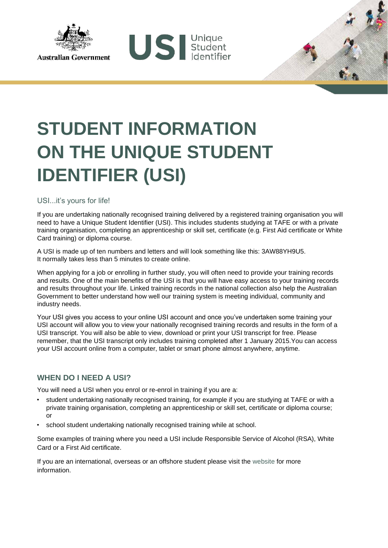

## **STUDENT INFORMATION ON THE UNIQUE STUDENT IDENTIFIER (USI)**

US Sudent

USI...it's yours for life!

If you are undertaking nationally recognised training delivered by a registered training organisation you will need to have a Unique Student Identifier (USI). This includes students studying at TAFE or with a private training organisation, completing an apprenticeship or skill set, certificate (e.g. First Aid certificate or White Card training) or diploma course.

A USI is made up of ten numbers and letters and will look something like this: 3AW88YH9U5. It normally takes less than 5 minutes to create online.

When applying for a job or enrolling in further study, you will often need to provide your training records and results. One of the main benefits of the USI is that you will have easy access to your training records and results throughout your life. Linked training records in the national collection also help the Australian Government to better understand how well our training system is meeting individual, community and industry needs.

Your USI gives you access to your online USI account and once you've undertaken some training your USI account will allow you to view your nationally recognised training records and results in the form of a USI transcript. You will also be able to view, download or print your USI transcript for free. Please remember, that the USI transcript only includes training completed after 1 January 2015.You can access your USI account online from a computer, tablet or smart phone almost anywhere, anytime.

## **WHEN DO I NEED A USI?**

You will need a USI when you enrol or re-enrol in training if you are a:

- student undertaking nationally recognised training, for example if you are studying at TAFE or with a private training organisation, completing an apprenticeship or skill set, certificate or diploma course; or
- school student undertaking nationally recognised training while at school.

Some examples of training where you need a USI include Responsible Service of Alcohol (RSA), White Card or a First Aid certificate.

If you are an international, overseas or an offshore student please visit the [website](https://www.usi.gov.au/training-organisations/using-usi-registry-system/international-overseas-and-offshore-students) for more information.